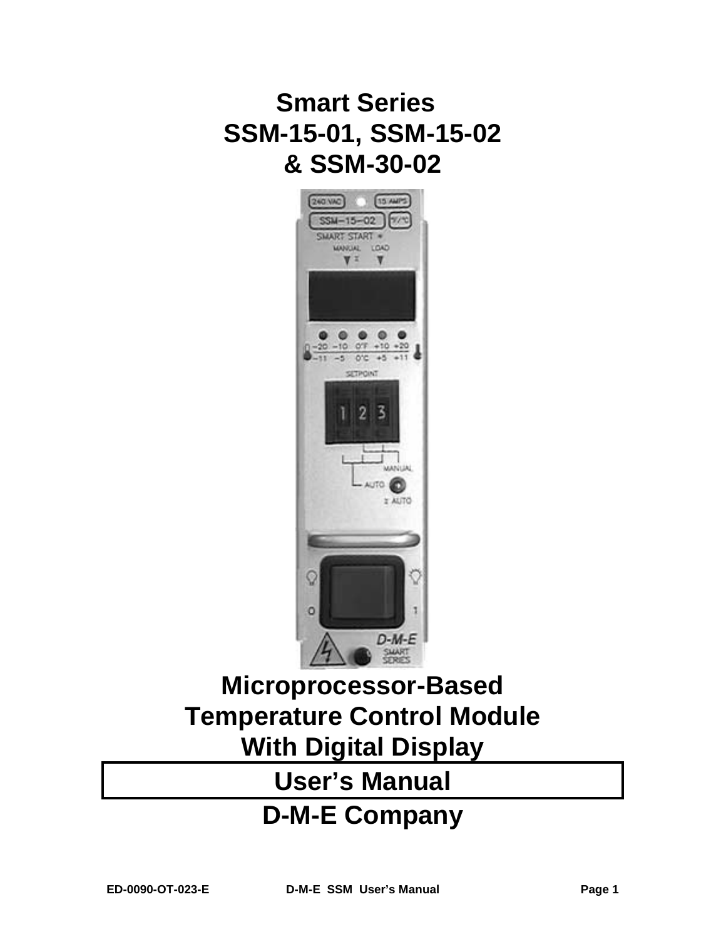# **Smart Series SSM-15-01, SSM-15-02 & SSM-30-02**



# **Microprocessor-Based Temperature Control Module With Digital Display**

# **User's Manual**

# **D-M-E Company**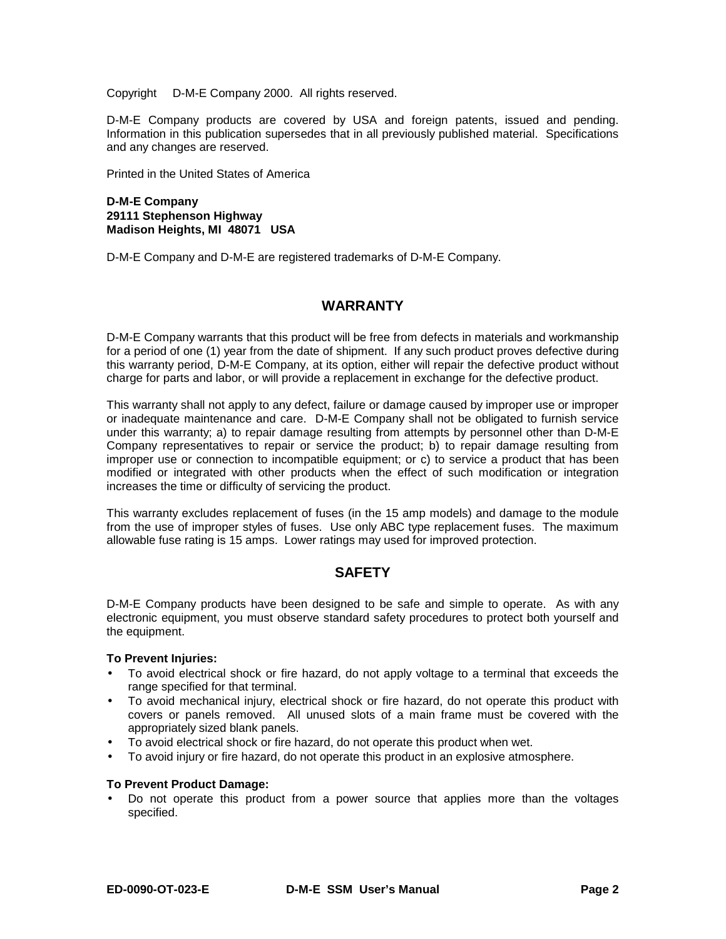Copyright © D-M-E Company 2000. All rights reserved.

D-M-E Company products are covered by USA and foreign patents, issued and pending. Information in this publication supersedes that in all previously published material. Specifications and any changes are reserved.

Printed in the United States of America

#### **D-M-E Company 29111 Stephenson Highway Madison Heights, MI 48071 USA**

D-M-E Company and D-M-E are registered trademarks of D-M-E Company.

### **WARRANTY**

D-M-E Company warrants that this product will be free from defects in materials and workmanship for a period of one (1) year from the date of shipment. If any such product proves defective during this warranty period, D-M-E Company, at its option, either will repair the defective product without charge for parts and labor, or will provide a replacement in exchange for the defective product.

This warranty shall not apply to any defect, failure or damage caused by improper use or improper or inadequate maintenance and care. D-M-E Company shall not be obligated to furnish service under this warranty; a) to repair damage resulting from attempts by personnel other than D-M-E Company representatives to repair or service the product; b) to repair damage resulting from improper use or connection to incompatible equipment; or c) to service a product that has been modified or integrated with other products when the effect of such modification or integration increases the time or difficulty of servicing the product.

This warranty excludes replacement of fuses (in the 15 amp models) and damage to the module from the use of improper styles of fuses. Use only ABC type replacement fuses. The maximum allowable fuse rating is 15 amps. Lower ratings may used for improved protection.

### **SAFETY**

D-M-E Company products have been designed to be safe and simple to operate. As with any electronic equipment, you must observe standard safety procedures to protect both yourself and the equipment.

#### **To Prevent Injuries:**

- To avoid electrical shock or fire hazard, do not apply voltage to a terminal that exceeds the range specified for that terminal.
- To avoid mechanical injury, electrical shock or fire hazard, do not operate this product with covers or panels removed. All unused slots of a main frame must be covered with the appropriately sized blank panels.
- To avoid electrical shock or fire hazard, do not operate this product when wet.
- To avoid injury or fire hazard, do not operate this product in an explosive atmosphere.

#### **To Prevent Product Damage:**

• Do not operate this product from a power source that applies more than the voltages specified.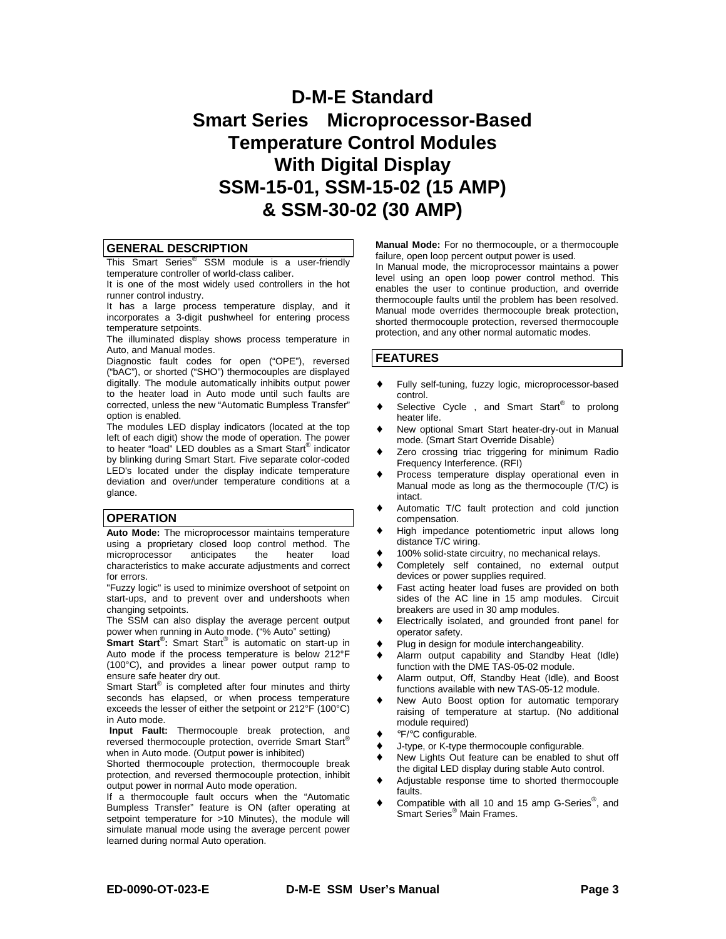# **D-M-E Standard Smart Series Microprocessor-Based Temperature Control Modules With Digital Display SSM-15-01, SSM-15-02 (15 AMP) & SSM-30-02 (30 AMP)**

#### **GENERAL DESCRIPTION**

This Smart Series<sup>®</sup> SSM module is a user-friendly temperature controller of world-class caliber.

It is one of the most widely used controllers in the hot runner control industry.

It has a large process temperature display, and it incorporates a 3-digit pushwheel for entering process temperature setpoints.

The illuminated display shows process temperature in Auto, and Manual modes.

Diagnostic fault codes for open ("OPE"), reversed ("bAC"), or shorted ("SHO") thermocouples are displayed digitally. The module automatically inhibits output power to the heater load in Auto mode until such faults are corrected, unless the new "Automatic Bumpless Transfer" option is enabled.

The modules LED display indicators (located at the top left of each digit) show the mode of operation. The power to heater "load" LED doubles as a Smart Start® indicator by blinking during Smart Start. Five separate color-coded LED's located under the display indicate temperature deviation and over/under temperature conditions at a glance.

#### **OPERATION**

**Auto Mode:** The microprocessor maintains temperature using a proprietary closed loop control method. The microprocessor anticipates the heater load characteristics to make accurate adjustments and correct for errors.

"Fuzzy logic" is used to minimize overshoot of setpoint on start-ups, and to prevent over and undershoots when changing setpoints.

The SSM can also display the average percent output power when running in Auto mode. ("% Auto" setting)

**Smart Start®:** Smart Start® is automatic on start-up in Auto mode if the process temperature is below 212°F (100°C), and provides a linear power output ramp to ensure safe heater dry out.

Smart Start<sup>®</sup> is completed after four minutes and thirty seconds has elapsed, or when process temperature exceeds the lesser of either the setpoint or 212°F (100°C) in Auto mode.

**Input Fault:** Thermocouple break protection, and reversed thermocouple protection, override Smart Start® when in Auto mode. (Output power is inhibited)

Shorted thermocouple protection, thermocouple break protection, and reversed thermocouple protection, inhibit output power in normal Auto mode operation.

If a thermocouple fault occurs when the "Automatic Bumpless Transfer" feature is ON (after operating at setpoint temperature for >10 Minutes), the module will simulate manual mode using the average percent power learned during normal Auto operation.

**Manual Mode:** For no thermocouple, or a thermocouple failure, open loop percent output power is used.

In Manual mode, the microprocessor maintains a power level using an open loop power control method. This enables the user to continue production, and override thermocouple faults until the problem has been resolved. Manual mode overrides thermocouple break protection, shorted thermocouple protection, reversed thermocouple protection, and any other normal automatic modes.

#### **FEATURES**

- Fully self-tuning, fuzzy logic, microprocessor-based control.
- Selective Cycle®, and Smart Start<sup>®</sup> to prolong heater life.
- New optional Smart Start heater-dry-out in Manual mode. (Smart Start Override Disable)
- ♦ Zero crossing triac triggering for minimum Radio Frequency Interference. (RFI)
- Process temperature display operational even in Manual mode as long as the thermocouple (T/C) is intact.
- ♦ Automatic T/C fault protection and cold junction compensation.
- High impedance potentiometric input allows long distance T/C wiring.
- 100% solid-state circuitry, no mechanical relays.
- ♦ Completely self contained, no external output devices or power supplies required.
- Fast acting heater load fuses are provided on both sides of the AC line in 15 amp modules. Circuit breakers are used in 30 amp modules.
- Electrically isolated, and grounded front panel for operator safety.
- Plug in design for module interchangeability.
- ♦ Alarm output capability and Standby Heat (Idle) function with the DME TAS-05-02 module.
- Alarm output, Off, Standby Heat (Idle), and Boost functions available with new TAS-05-12 module.
- ♦ New Auto Boost option for automatic temporary raising of temperature at startup. (No additional module required)
- °F/°C configurable.
- ♦ J-type, or K-type thermocouple configurable.
- ♦ New Lights Out feature can be enabled to shut off the digital LED display during stable Auto control.
- ♦ Adjustable response time to shorted thermocouple faults.
- Compatible with all 10 and 15 amp G-Series<sup>®</sup>, and Smart Series® Main Frames.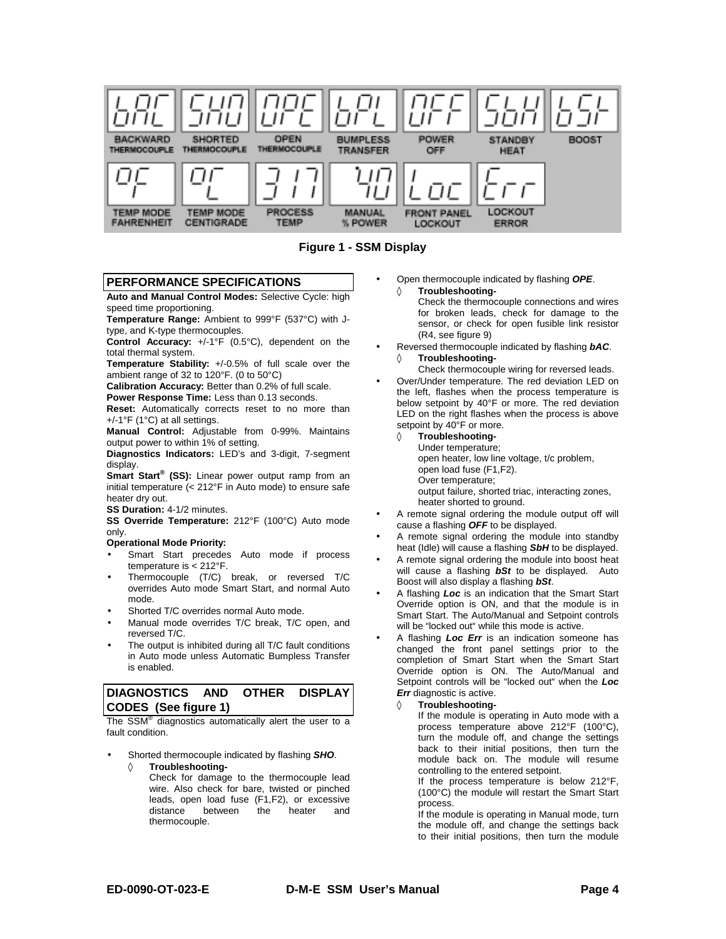

**Figure 1 - SSM Display** 

#### **PERFORMANCE SPECIFICATIONS**

**Auto and Manual Control Modes:** Selective Cycle: high speed time proportioning.

**Temperature Range:** Ambient to 999°F (537°C) with Jtype, and K-type thermocouples.

**Control Accuracy:** +/-1°F (0.5°C), dependent on the total thermal system.

**Temperature Stability:** +/-0.5% of full scale over the ambient range of 32 to 120°F. (0 to 50°C)

**Calibration Accuracy:** Better than 0.2% of full scale.

**Power Response Time:** Less than 0.13 seconds.

**Reset:** Automatically corrects reset to no more than +/-1°F (1°C) at all settings.

**Manual Control:** Adjustable from 0-99%. Maintains output power to within 1% of setting.

**Diagnostics Indicators:** LED's and 3-digit, 7-segment display.

**Smart Start® (SS):** Linear power output ramp from an initial temperature (< 212°F in Auto mode) to ensure safe heater dry out.

**SS Duration:** 4-1/2 minutes.

**SS Override Temperature:** 212°F (100°C) Auto mode only.

#### **Operational Mode Priority:**

- Smart Start precedes Auto mode if process temperature is < 212°F.
- Thermocouple (T/C) break, or reversed T/C overrides Auto mode Smart Start, and normal Auto mode.
- Shorted T/C overrides normal Auto mode.
- Manual mode overrides T/C break, T/C open, and reversed T/C.
- The output is inhibited during all T/C fault conditions in Auto mode unless Automatic Bumpless Transfer is enabled.

#### **DIAGNOSTICS AND OTHER DISPLAY CODES (See figure 1)**

The SSM® diagnostics automatically alert the user to a fault condition.

- Shorted thermocouple indicated by flashing *SHO*. **Troubleshooting-**
	- Check for damage to the thermocouple lead wire. Also check for bare, twisted or pinched leads, open load fuse (F1,F2), or excessive<br>distance between the heater and between the heater and thermocouple.

• Open thermocouple indicated by flashing *OPE*. ◊ **Troubleshooting-**

> Check the thermocouple connections and wires for broken leads, check for damage to the sensor, or check for open fusible link resistor (R4, see figure 9)

- Reversed thermocouple indicated by flashing *bAC*. ◊ **Troubleshooting-**
	- Check thermocouple wiring for reversed leads.
- Over/Under temperature. The red deviation LED on the left, flashes when the process temperature is below setpoint by 40°F or more. The red deviation LED on the right flashes when the process is above setpoint by 40°F or more.
	- ◊ **Troubleshooting-**

Under temperature; open heater, low line voltage, t/c problem, open load fuse (F1,F2). Over temperature;

output failure, shorted triac, interacting zones, heater shorted to ground.

- A remote signal ordering the module output off will cause a flashing *OFF* to be displayed.
- A remote signal ordering the module into standby heat (Idle) will cause a flashing *SbH* to be displayed.
- A remote signal ordering the module into boost heat will cause a flashing *bSt* to be displayed. Auto Boost will also display a flashing *bSt*.
- A flashing *Loc* is an indication that the Smart Start Override option is ON, and that the module is in Smart Start. The Auto/Manual and Setpoint controls will be "locked out" while this mode is active.
- A flashing *Loc Err* is an indication someone has changed the front panel settings prior to the completion of Smart Start when the Smart Start Override option is ON. The Auto/Manual and Setpoint controls will be "locked out" when the *Loc Err* diagnostic is active.
	- **Troubleshooting-**

If the module is operating in Auto mode with a process temperature above 212°F (100°C), turn the module off, and change the settings back to their initial positions, then turn the module back on. The module will resume controlling to the entered setpoint.

If the process temperature is below 212°F, (100°C) the module will restart the Smart Start process.

If the module is operating in Manual mode, turn the module off, and change the settings back to their initial positions, then turn the module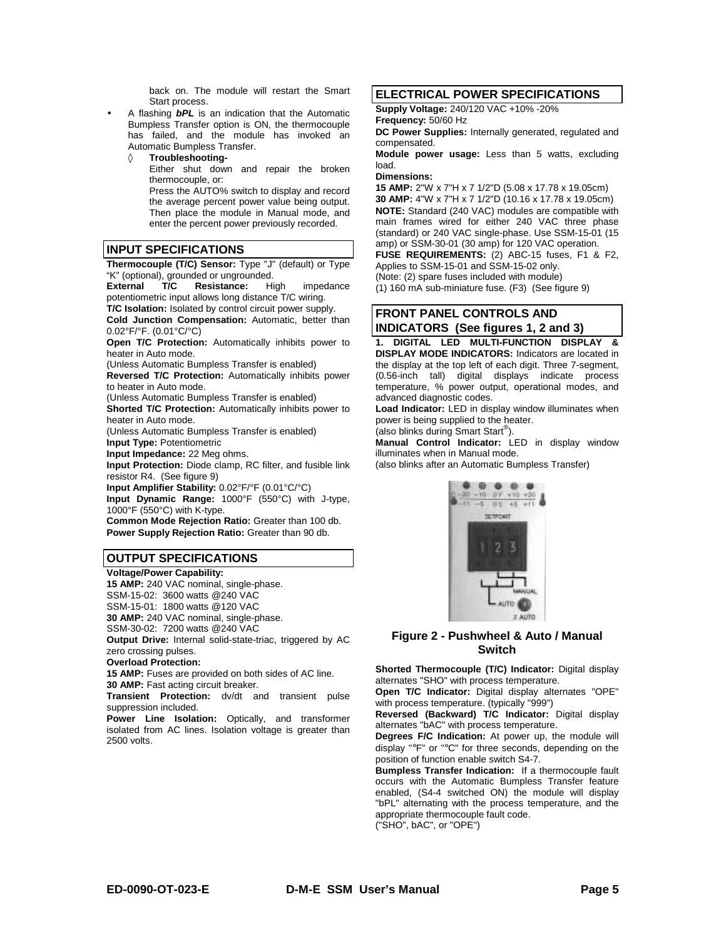back on. The module will restart the Smart Start process.

• A flashing *bPL* is an indication that the Automatic Bumpless Transfer option is ON, the thermocouple has failed, and the module has invoked an Automatic Bumpless Transfer.

**Troubleshooting-**Either shut down and repair the broken thermocouple, or: Press the AUTO% switch to display and record

the average percent power value being output. Then place the module in Manual mode, and enter the percent power previously recorded.

#### **INPUT SPECIFICATIONS**

**Thermocouple (T/C) Sensor:** Type "J" (default) or Type "K" (optional), grounded or ungrounded.

**External T/C Resistance:** High impedance potentiometric input allows long distance T/C wiring. **T/C Isolation:** Isolated by control circuit power supply.

**Cold Junction Compensation:** Automatic, better than 0.02°F/°F. (0.01°C/°C)

**Open T/C Protection:** Automatically inhibits power to heater in Auto mode.

(Unless Automatic Bumpless Transfer is enabled)

**Reversed T/C Protection:** Automatically inhibits power to heater in Auto mode.

(Unless Automatic Bumpless Transfer is enabled)

**Shorted T/C Protection:** Automatically inhibits power to heater in Auto mode.

(Unless Automatic Bumpless Transfer is enabled) **Input Type:** Potentiometric

**Input Impedance:** 22 Meg ohms.

**Input Protection:** Diode clamp, RC filter, and fusible link resistor R4. (See figure 9)

**Input Amplifier Stability:** 0.02°F/°F (0.01°C/°C)

**Input Dynamic Range:** 1000°F (550°C) with J-type, 1000°F (550°C) with K-type.

**Common Mode Rejection Ratio:** Greater than 100 db. **Power Supply Rejection Ratio:** Greater than 90 db.

#### **OUTPUT SPECIFICATIONS**

**Voltage/Power Capability:**

**15 AMP:** 240 VAC nominal, single-phase. SSM-15-02: 3600 watts @240 VAC SSM-15-01: 1800 watts @120 VAC **30 AMP:** 240 VAC nominal, single-phase. SSM-30-02: 7200 watts @240 VAC **Output Drive:** Internal solid-state-triac, triggered by AC zero crossing pulses. **Overload Protection:**

**15 AMP:** Fuses are provided on both sides of AC line. **30 AMP:** Fast acting circuit breaker.

**Transient Protection:** dv/dt and transient pulse suppression included.

**Power Line Isolation:** Optically, and transformer isolated from AC lines. Isolation voltage is greater than 2500 volts.

#### **ELECTRICAL POWER SPECIFICATIONS**

**Supply Voltage:** 240/120 VAC +10% -20%

**Frequency:** 50/60 Hz

**DC Power Supplies:** Internally generated, regulated and compensated.

**Module power usage:** Less than 5 watts, excluding load.

#### **Dimensions:**

**15 AMP:** 2"W x 7"H x 7 1/2"D (5.08 x 17.78 x 19.05cm) **30 AMP:** 4"W x 7"H x 7 1/2"D (10.16 x 17.78 x 19.05cm) **NOTE:** Standard (240 VAC) modules are compatible with main frames wired for either 240 VAC three phase (standard) or 240 VAC single-phase. Use SSM-15-01 (15 amp) or SSM-30-01 (30 amp) for 120 VAC operation.

**FUSE REQUIREMENTS:** (2) ABC-15 fuses, F1 & F2, Applies to SSM-15-01 and SSM-15-02 only.

(Note: (2) spare fuses included with module)

(1) 160 mA sub-miniature fuse. (F3) (See figure 9)

#### **FRONT PANEL CONTROLS AND INDICATORS (See figures 1, 2 and 3)**

**1. DIGITAL LED MULTI-FUNCTION DISPLAY & DISPLAY MODE INDICATORS:** Indicators are located in the display at the top left of each digit. Three 7-segment, (0*.*56-inch tall) digital displays indicate process temperature, % power output, operational modes, and advanced diagnostic codes.

**Load Indicator:** LED in display window illuminates when power is being supplied to the heater.

(also blinks during Smart Start®).

**Manual Control Indicator:** LED in display window illuminates when in Manual mode.

(also blinks after an Automatic Bumpless Transfer)



#### **Figure 2 - Pushwheel & Auto / Manual Switch**

**Shorted Thermocouple (T/C) Indicator:** Digital display alternates "SHO" with process temperature.

**Open T/C Indicator:** Digital display alternates "OPE" with process temperature. (typically "999")

**Reversed (Backward) T/C Indicator:** Digital display alternates "bAC" with process temperature.

**Degrees F/C Indication:** At power up, the module will display "°F" or "°C" for three seconds, depending on the position of function enable switch S4-7.

**Bumpless Transfer Indication:** If a thermocouple fault occurs with the Automatic Bumpless Transfer feature enabled, (S4-4 switched ON) the module will display "bPL" alternating with the process temperature, and the appropriate thermocouple fault code.

("SHO", bAC", or "OPE")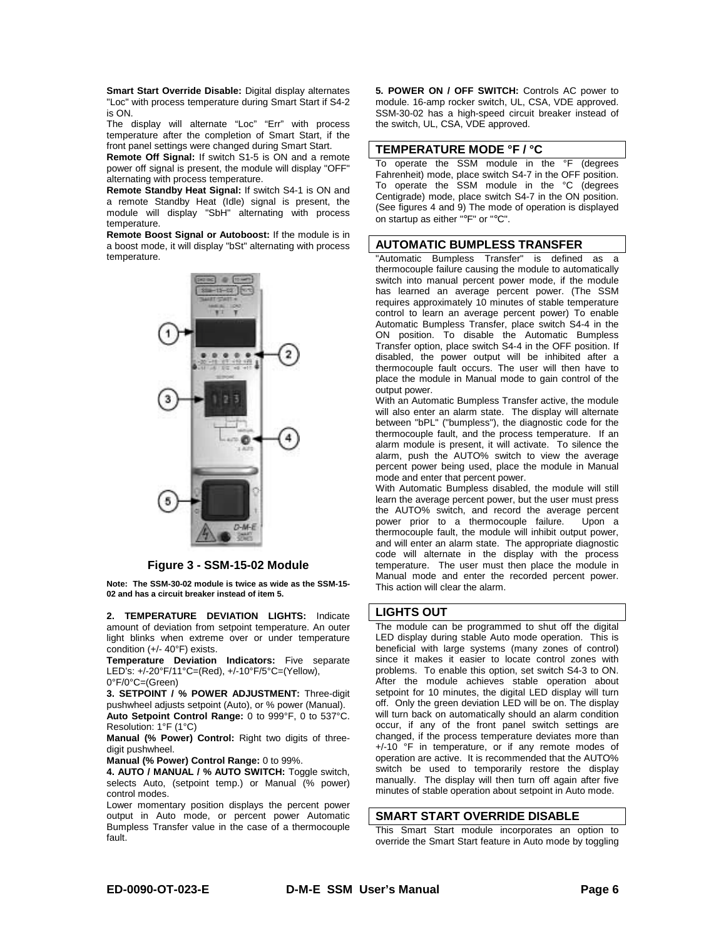**Smart Start Override Disable:** Digital display alternates "Loc" with process temperature during Smart Start if S4-2 is ON.

The display will alternate "Loc" "Err" with process temperature after the completion of Smart Start, if the front panel settings were changed during Smart Start.

**Remote Off Signal:** If switch S1-5 is ON and a remote power off signal is present, the module will display "OFF" alternating with process temperature.

**Remote Standby Heat Signal:** If switch S4-1 is ON and a remote Standby Heat (Idle) signal is present, the module will display "SbH" alternating with process temperature.

**Remote Boost Signal or Autoboost:** If the module is in a boost mode, it will display "bSt" alternating with process temperature.



**Figure 3 - SSM-15-02 Module**

**Note: The SSM-30-02 module is twice as wide as the SSM-15- 02 and has a circuit breaker instead of item 5.** 

**2. TEMPERATURE DEVIATION LIGHTS:** Indicate amount of deviation from setpoint temperature. An outer light blinks when extreme over or under temperature condition (+/- 40°F) exists.

**Temperature Deviation Indicators:** Five separate LED's: +/-20°F/11°C=(Red), +/-10°F/5°C=(Yellow), 0°F/0°C=(Green)

**3. SETPOINT / % POWER ADJUSTMENT:** Three-digit pushwheel adjusts setpoint (Auto), or % power (Manual). **Auto Setpoint Control Range:** 0 to 999°F, 0 to 537°C. Resolution: 1°F (1°C)

**Manual (% Power) Control:** Right two digits of threedigit pushwheel.

**Manual (% Power) Control Range:** 0 to 99%.

**4. AUTO / MANUAL / % AUTO SWITCH:** Toggle switch, selects Auto, (setpoint temp.) or Manual (% power) control modes.

Lower momentary position displays the percent power output in Auto mode, or percent power Automatic Bumpless Transfer value in the case of a thermocouple fault.

**5. POWER ON / OFF SWITCH:** Controls AC power to module. 16-amp rocker switch, UL, CSA, VDE approved. SSM-30-02 has a high-speed circuit breaker instead of the switch, UL, CSA, VDE approved.

#### **TEMPERATURE MODE °F / °C**

To operate the SSM module in the °F (degrees Fahrenheit) mode, place switch S4-7 in the OFF position. To operate the SSM module in the °C (degrees Centigrade) mode, place switch S4-7 in the ON position. (See figures 4 and 9) The mode of operation is displayed on startup as either "°F" or "°C".

#### **AUTOMATIC BUMPLESS TRANSFER**

"Automatic Bumpless Transfer" is defined as a thermocouple failure causing the module to automatically switch into manual percent power mode, if the module has learned an average percent power. (The SSM requires approximately 10 minutes of stable temperature control to learn an average percent power) To enable Automatic Bumpless Transfer, place switch S4-4 in the ON position. To disable the Automatic Bumpless Transfer option, place switch S4-4 in the OFF position. If disabled, the power output will be inhibited after a thermocouple fault occurs. The user will then have to place the module in Manual mode to gain control of the output power.

With an Automatic Bumpless Transfer active, the module will also enter an alarm state. The display will alternate between "bPL" ("bumpless"), the diagnostic code for the thermocouple fault, and the process temperature. If an alarm module is present, it will activate. To silence the alarm, push the AUTO% switch to view the average percent power being used, place the module in Manual mode and enter that percent power.

With Automatic Bumpless disabled, the module will still learn the average percent power, but the user must press the AUTO% switch, and record the average percent power prior to a thermocouple failure. Upon a thermocouple fault, the module will inhibit output power, and will enter an alarm state. The appropriate diagnostic code will alternate in the display with the process temperature. The user must then place the module in Manual mode and enter the recorded percent power. This action will clear the alarm.

#### **LIGHTS OUT**

The module can be programmed to shut off the digital LED display during stable Auto mode operation. This is beneficial with large systems (many zones of control) since it makes it easier to locate control zones with problems. To enable this option, set switch S4-3 to ON. After the module achieves stable operation about setpoint for 10 minutes, the digital LED display will turn off. Only the green deviation LED will be on. The display will turn back on automatically should an alarm condition occur, if any of the front panel switch settings are changed, if the process temperature deviates more than +/-10 °F in temperature, or if any remote modes of operation are active. It is recommended that the AUTO% switch be used to temporarily restore the display manually. The display will then turn off again after five minutes of stable operation about setpoint in Auto mode.

#### **SMART START OVERRIDE DISABLE**

This Smart Start module incorporates an option to override the Smart Start feature in Auto mode by toggling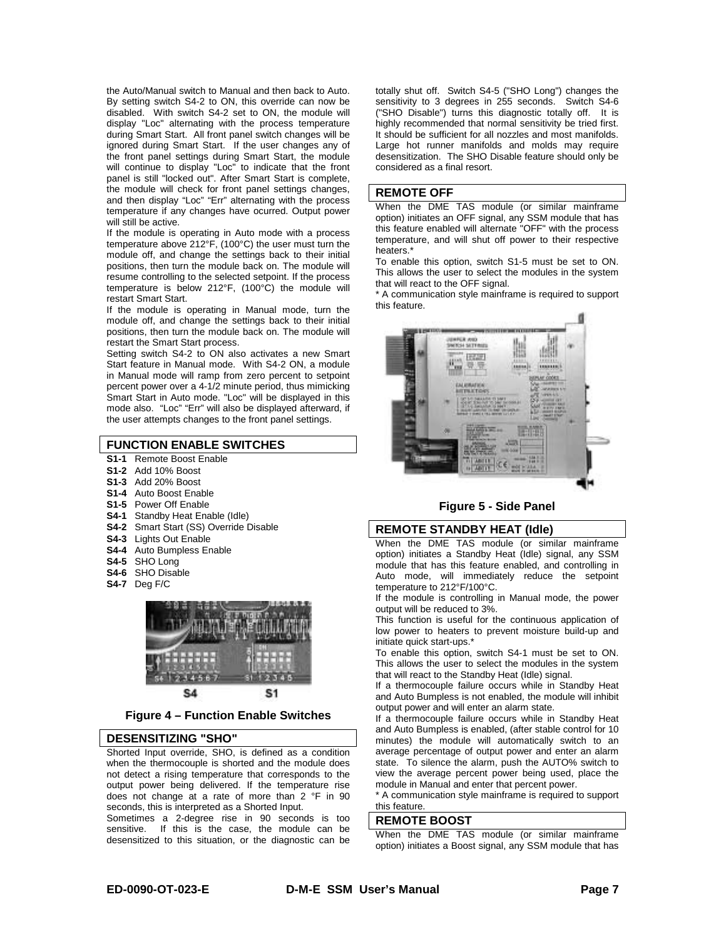the Auto/Manual switch to Manual and then back to Auto. By setting switch S4-2 to ON, this override can now be disabled. With switch S4-2 set to ON, the module will display "Loc" alternating with the process temperature during Smart Start. All front panel switch changes will be ignored during Smart Start. If the user changes any of the front panel settings during Smart Start, the module will continue to display "Loc" to indicate that the front panel is still "locked out". After Smart Start is complete, the module will check for front panel settings changes, and then display "Loc" "Err" alternating with the process temperature if any changes have ocurred. Output power will still be active.

If the module is operating in Auto mode with a process temperature above 212°F, (100°C) the user must turn the module off, and change the settings back to their initial positions, then turn the module back on. The module will resume controlling to the selected setpoint. If the process temperature is below 212°F, (100°C) the module will restart Smart Start.

If the module is operating in Manual mode, turn the module off, and change the settings back to their initial positions, then turn the module back on. The module will restart the Smart Start process.

Setting switch S4-2 to ON also activates a new Smart Start feature in Manual mode. With S4-2 ON, a module in Manual mode will ramp from zero percent to setpoint percent power over a 4-1/2 minute period, thus mimicking Smart Start in Auto mode. "Loc" will be displayed in this mode also. "Loc" "Err" will also be displayed afterward, if the user attempts changes to the front panel settings.

#### **FUNCTION ENABLE SWITCHES**

- **S1-1** Remote Boost Enable
- **S1-2** Add 10% Boost
- **S1-3** Add 20% Boost
- **S1-4** Auto Boost Enable
- **S1-5** Power Off Enable
- **S4-1** Standby Heat Enable (Idle)
- **S4-2** Smart Start (SS) Override Disable
- **S4-3** Lights Out Enable
- **S4-4** Auto Bumpless Enable
- **S4-5** SHO Long
- **S4-6** SHO Disable
- **S4-7** Deg F/C



#### **Figure 4 – Function Enable Switches**

#### **DESENSITIZING "SHO"**

Shorted Input override, SHO, is defined as a condition when the thermocouple is shorted and the module does not detect a rising temperature that corresponds to the output power being delivered. If the temperature rise does not change at a rate of more than 2 °F in 90 seconds, this is interpreted as a Shorted Input.

Sometimes a 2-degree rise in 90 seconds is too sensitive. If this is the case, the module can be desensitized to this situation, or the diagnostic can be

totally shut off. Switch S4-5 ("SHO Long") changes the sensitivity to 3 degrees in 255 seconds. Switch S4-6 ("SHO Disable") turns this diagnostic totally off. It is highly recommended that normal sensitivity be tried first. It should be sufficient for all nozzles and most manifolds. Large hot runner manifolds and molds may require desensitization. The SHO Disable feature should only be considered as a final resort.

#### **REMOTE OFF**

When the DME TAS module (or similar mainframe option) initiates an OFF signal, any SSM module that has this feature enabled will alternate "OFF" with the process temperature, and will shut off power to their respective heaters.<sup>\*</sup>

To enable this option, switch S1-5 must be set to ON. This allows the user to select the modules in the system that will react to the OFF signal.

\* A communication style mainframe is required to support this feature.



#### **Figure 5 - Side Panel**

#### **REMOTE STANDBY HEAT (Idle)**

When the DME TAS module (or similar mainframe option) initiates a Standby Heat (Idle) signal, any SSM module that has this feature enabled, and controlling in Auto mode, will immediately reduce the setpoint temperature to 212°F/100°C.

If the module is controlling in Manual mode, the power output will be reduced to 3%.

This function is useful for the continuous application of low power to heaters to prevent moisture build-up and initiate quick start-ups.\*

To enable this option, switch S4-1 must be set to ON. This allows the user to select the modules in the system that will react to the Standby Heat (Idle) signal.

If a thermocouple failure occurs while in Standby Heat and Auto Bumpless is not enabled, the module will inhibit output power and will enter an alarm state.

If a thermocouple failure occurs while in Standby Heat and Auto Bumpless is enabled, (after stable control for 10 minutes) the module will automatically switch to an average percentage of output power and enter an alarm state. To silence the alarm, push the AUTO% switch to view the average percent power being used, place the module in Manual and enter that percent power.

\* A communication style mainframe is required to support this feature.

#### **REMOTE BOOST**

When the DME TAS module (or similar mainframe option) initiates a Boost signal, any SSM module that has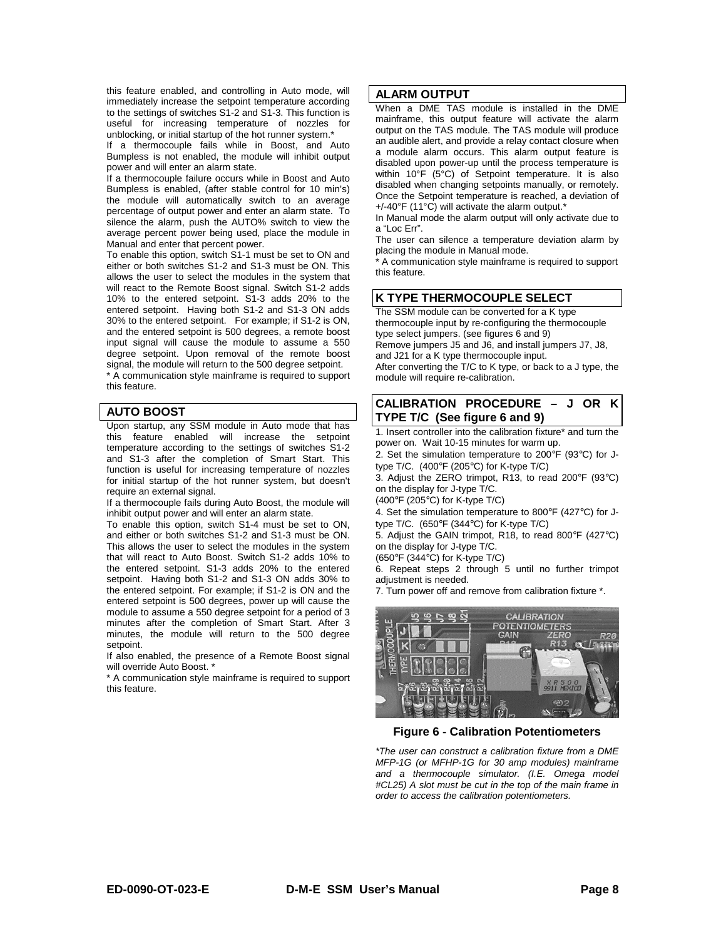this feature enabled, and controlling in Auto mode, will immediately increase the setpoint temperature according to the settings of switches S1-2 and S1-3. This function is useful for increasing temperature of nozzles for unblocking, or initial startup of the hot runner system.\*

If a thermocouple fails while in Boost, and Auto Bumpless is not enabled, the module will inhibit output power and will enter an alarm state.

If a thermocouple failure occurs while in Boost and Auto Bumpless is enabled, (after stable control for 10 min's) the module will automatically switch to an average percentage of output power and enter an alarm state. To silence the alarm, push the AUTO% switch to view the average percent power being used, place the module in Manual and enter that percent power.

To enable this option, switch S1-1 must be set to ON and either or both switches S1-2 and S1-3 must be ON. This allows the user to select the modules in the system that will react to the Remote Boost signal. Switch S1-2 adds 10% to the entered setpoint. S1-3 adds 20% to the entered setpoint. Having both S1-2 and S1-3 ON adds 30% to the entered setpoint. For example; if S1-2 is ON, and the entered setpoint is 500 degrees, a remote boost input signal will cause the module to assume a 550 degree setpoint. Upon removal of the remote boost signal, the module will return to the 500 degree setpoint.

\* A communication style mainframe is required to support this feature.

### **AUTO BOOST**

Upon startup, any SSM module in Auto mode that has this feature enabled will increase the setpoint temperature according to the settings of switches S1-2 and S1-3 after the completion of Smart Start. This function is useful for increasing temperature of nozzles for initial startup of the hot runner system, but doesn't require an external signal.

If a thermocouple fails during Auto Boost, the module will inhibit output power and will enter an alarm state.

To enable this option, switch S1-4 must be set to ON, and either or both switches S1-2 and S1-3 must be ON. This allows the user to select the modules in the system that will react to Auto Boost. Switch S1-2 adds 10% to the entered setpoint. S1-3 adds 20% to the entered setpoint. Having both S1-2 and S1-3 ON adds 30% to the entered setpoint. For example; if S1-2 is ON and the entered setpoint is 500 degrees, power up will cause the module to assume a 550 degree setpoint for a period of 3 minutes after the completion of Smart Start. After 3 minutes, the module will return to the 500 degree setpoint.

If also enabled, the presence of a Remote Boost signal will override Auto Boost. \*

\* A communication style mainframe is required to support this feature.

#### **ALARM OUTPUT**

When a DME TAS module is installed in the DME mainframe, this output feature will activate the alarm output on the TAS module. The TAS module will produce an audible alert, and provide a relay contact closure when a module alarm occurs. This alarm output feature is disabled upon power-up until the process temperature is within 10°F (5°C) of Setpoint temperature. It is also disabled when changing setpoints manually, or remotely. Once the Setpoint temperature is reached, a deviation of +/-40°F (11°C) will activate the alarm output.\*

In Manual mode the alarm output will only activate due to a "Loc Err".

The user can silence a temperature deviation alarm by placing the module in Manual mode.

A communication style mainframe is required to support this feature.

#### **K TYPE THERMOCOUPLE SELECT**

The SSM module can be converted for a K type thermocouple input by re-configuring the thermocouple type select jumpers. (see figures 6 and 9)

Remove jumpers J5 and J6, and install jumpers J7, J8, and J21 for a K type thermocouple input.

After converting the T/C to K type, or back to a J type, the module will require re-calibration.

#### **CALIBRATION PROCEDURE – J OR K TYPE T/C (See figure 6 and 9)**

1. Insert controller into the calibration fixture\* and turn the power on. Wait 10-15 minutes for warm up.

2. Set the simulation temperature to 200°F (93°C) for Jtype T/C. (400°F (205°C) for K-type T/C)

3. Adjust the ZERO trimpot, R13, to read 200°F (93°C) on the display for J-type T/C.

(400°F (205°C) for K-type T/C)

4. Set the simulation temperature to 800°F (427°C) for Jtype T/C. (650°F (344°C) for K-type T/C)

5. Adjust the GAIN trimpot, R18, to read 800°F (427°C) on the display for J-type T/C.

(650°F (344°C) for K-type T/C)

6. Repeat steps 2 through 5 until no further trimpot adjustment is needed.

7. Turn power off and remove from calibration fixture \*.



**Figure 6 - Calibration Potentiometers**

*\*The user can construct a calibration fixture from a DME MFP-1G (or MFHP-1G for 30 amp modules) mainframe and a thermocouple simulator. (I.E. Omega model #CL25) A slot must be cut in the top of the main frame in order to access the calibration potentiometers.*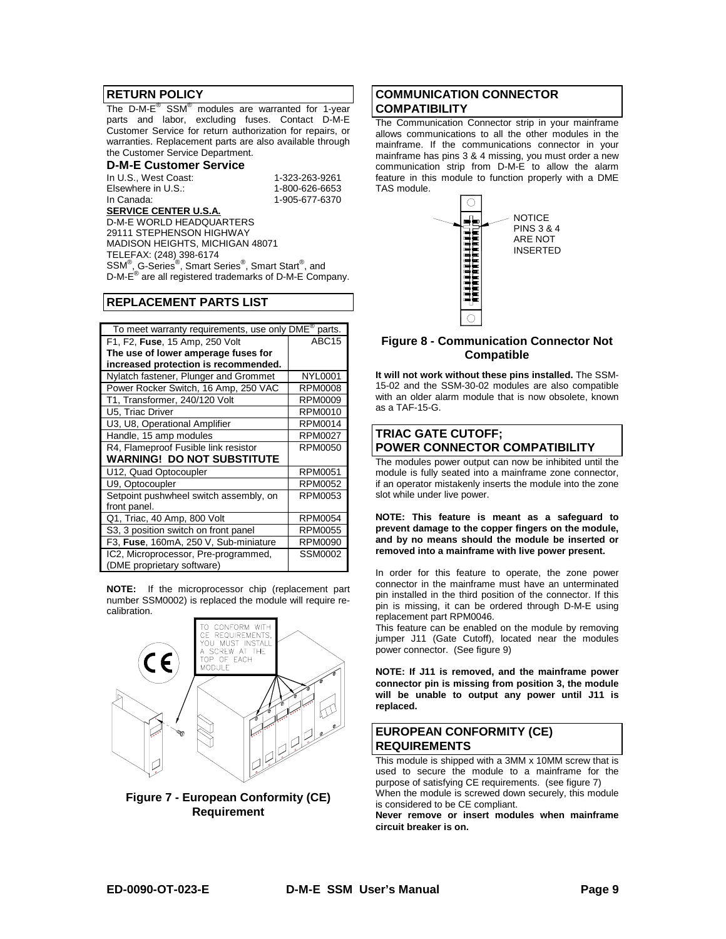#### **RETURN POLICY**

The D-M-E® SSM® modules are warranted for 1-year parts and labor, excluding fuses. Contact D-M-E Customer Service for return authorization for repairs, or warranties. Replacement parts are also available through the Customer Service Department.

#### **D-M-E Customer Service**

In U.S., West Coast: 1-323-263-9261 Elsewhere in U.S.: In Canada: 1-905-677-6370 **SERVICE CENTER U.S.A.**

D-M-E WORLD HEADQUARTERS 29111 STEPHENSON HIGHWAY MADISON HEIGHTS, MICHIGAN 48071 TELEFAX: (248) 398-6174 SSM®, G-Series®, Smart Series®, Smart Start®, and D-M-E® are all registered trademarks of D-M-E Company.

#### **REPLACEMENT PARTS LIST**

| To meet warranty requirements, use only DME <sup>®</sup><br>parts. |                   |  |  |  |
|--------------------------------------------------------------------|-------------------|--|--|--|
| F1, F2, Fuse, 15 Amp, 250 Volt                                     | ABC <sub>15</sub> |  |  |  |
| The use of lower amperage fuses for                                |                   |  |  |  |
| increased protection is recommended.                               |                   |  |  |  |
| Nylatch fastener, Plunger and Grommet                              | <b>NYL0001</b>    |  |  |  |
| Power Rocker Switch, 16 Amp, 250 VAC                               | RPM0008           |  |  |  |
| T1, Transformer, 240/120 Volt                                      | RPM0009           |  |  |  |
| U5, Triac Driver                                                   | RPM0010           |  |  |  |
| U3, U8, Operational Amplifier                                      | <b>RPM0014</b>    |  |  |  |
| Handle, 15 amp modules                                             | <b>RPM0027</b>    |  |  |  |
| R4, Flameproof Fusible link resistor                               | <b>RPM0050</b>    |  |  |  |
| <b>WARNING! DO NOT SUBSTITUTE</b>                                  |                   |  |  |  |
| U12, Quad Optocoupler                                              | <b>RPM0051</b>    |  |  |  |
| U9, Optocoupler                                                    | <b>RPM0052</b>    |  |  |  |
| Setpoint pushwheel switch assembly, on                             | RPM0053           |  |  |  |
| front panel.                                                       |                   |  |  |  |
| Q1, Triac, 40 Amp, 800 Volt                                        | <b>RPM0054</b>    |  |  |  |
| S3, 3 position switch on front panel                               | <b>RPM0055</b>    |  |  |  |
| F3, Fuse, 160mA, 250 V, Sub-miniature                              | <b>RPM0090</b>    |  |  |  |
| IC2, Microprocessor, Pre-programmed,                               | <b>SSM0002</b>    |  |  |  |
| (DME proprietary software)                                         |                   |  |  |  |

**NOTE:** If the microprocessor chip (replacement part number SSM0002) is replaced the module will require recalibration.



**Figure 7 - European Conformity (CE) Requirement** 

#### **COMMUNICATION CONNECTOR COMPATIBILITY**

The Communication Connector strip in your mainframe allows communications to all the other modules in the mainframe. If the communications connector in your mainframe has pins 3 & 4 missing, you must order a new communication strip from D-M-E to allow the alarm feature in this module to function properly with a DME TAS module.



#### **Figure 8 - Communication Connector Not Compatible**

**It will not work without these pins installed.** The SSM-15-02 and the SSM-30-02 modules are also compatible with an older alarm module that is now obsolete, known as a TAF-15-G.

### **TRIAC GATE CUTOFF; POWER CONNECTOR COMPATIBILITY**

The modules power output can now be inhibited until the module is fully seated into a mainframe zone connector, if an operator mistakenly inserts the module into the zone slot while under live power.

**NOTE: This feature is meant as a safeguard to prevent damage to the copper fingers on the module, and by no means should the module be inserted or removed into a mainframe with live power present.** 

In order for this feature to operate, the zone power connector in the mainframe must have an unterminated pin installed in the third position of the connector. If this pin is missing, it can be ordered through D-M-E using replacement part RPM0046.

This feature can be enabled on the module by removing jumper J11 (Gate Cutoff), located near the modules power connector. (See figure 9)

**NOTE: If J11 is removed, and the mainframe power connector pin is missing from position 3, the module will be unable to output any power until J11 is replaced.** 

#### **EUROPEAN CONFORMITY (CE) REQUIREMENTS**

This module is shipped with a 3MM x 10MM screw that is used to secure the module to a mainframe for the purpose of satisfying CE requirements. (see figure 7) When the module is screwed down securely, this module is considered to be CE compliant.

**Never remove or insert modules when mainframe circuit breaker is on.**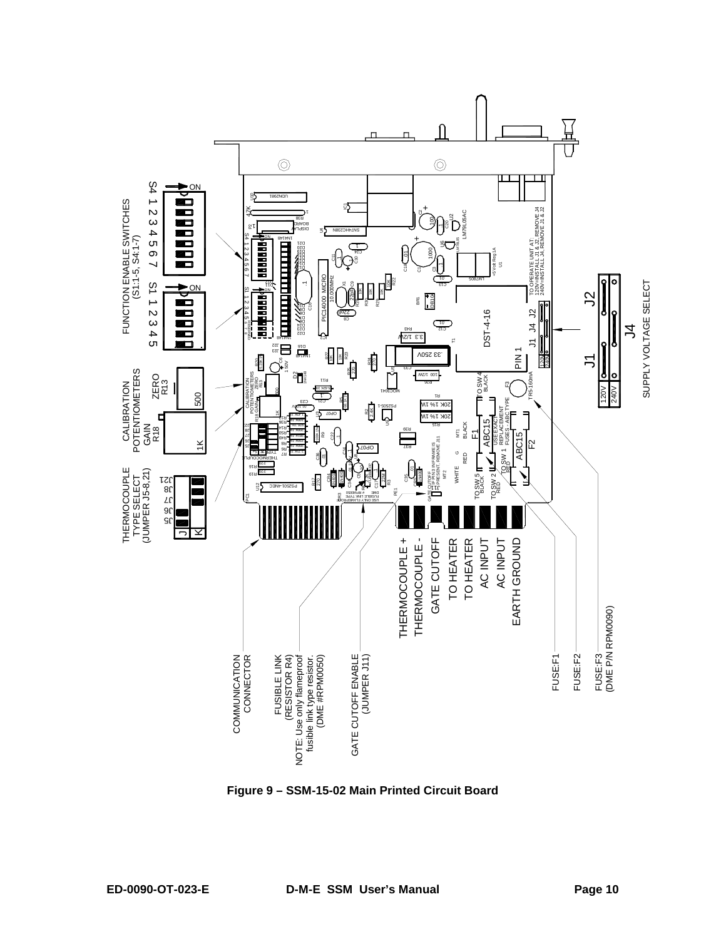

**Figure 9 – SSM-15-02 Main Printed Circuit Board**